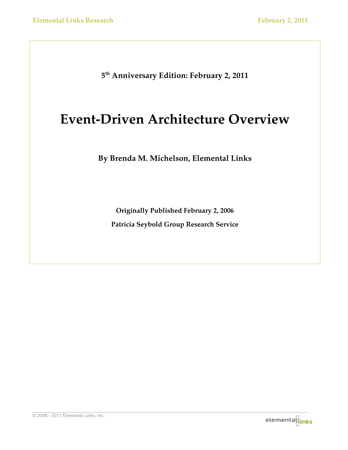**5th Anniversary Edition: February 2, 2011**

# **Event-Driven Architecture Overview**

**By Brenda M. Michelson, Elemental Links**

**Originally Published February 2, 2006 Patricia Seybold Group Research Service**

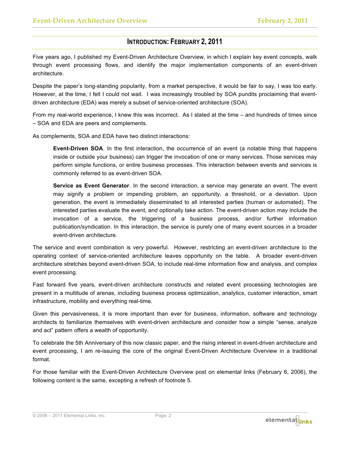# **INTRODUCTION: FEBRUARY 2, 2011**

Five years ago, I published my Event-Driven Architecture Overview, in which I explain key event concepts, walk through event processing flows, and identify the major implementation components of an event-driven architecture.

Despite the paper's long-standing popularity, from a market perspective, it would be fair to say, I was too early. However, at the time, I felt I could not wait. I was increasingly troubled by SOA pundits proclaiming that eventdriven architecture (EDA) was merely a subset of service-oriented architecture (SOA).

From my real-world experience, I knew this was incorrect. As I stated at the time – and hundreds of times since – SOA and EDA are peers and complements.

As complements, SOA and EDA have two distinct interactions:

**Event-Driven SOA**. In the first interaction, the occurrence of an event (a notable thing that happens inside or outside your business) can trigger the invocation of one or many services. Those services may perform simple functions, or entire business processes. This interaction between events and services is commonly referred to as event-driven SOA.

**Service as Event Generator**. In the second interaction, a service may generate an event. The event may signify a problem or impending problem, an opportunity, a threshold, or a deviation. Upon generation, the event is immediately disseminated to all interested parties (human or automated). The interested parties evaluate the event, and optionally take action. The event-driven action may include the invocation of a service, the triggering of a business process, and/or further information publication/syndication. In this interaction, the service is purely one of many event sources in a broader event-driven architecture.

The service and event combination is very powerful. However, restricting an event-driven architecture to the operating context of service-oriented architecture leaves opportunity on the table. A broader event-driven architecture stretches beyond event-driven SOA, to include real-time information flow and analysis, and complex event processing.

Fast forward five years, event-driven architecture constructs and related event processing technologies are present in a multitude of arenas, including business process optimization, analytics, customer interaction, smart infrastructure, mobility and everything real-time.

Given this pervasiveness, it is more important than ever for business, information, software and technology architects to familiarize themselves with event-driven architecture and consider how a simple "sense, analyze and act" pattern offers a wealth of opportunity.

To celebrate the 5th Anniversary of this now classic paper, and the rising interest in event-driven architecture and event processing, I am re-issuing the core of the original Event-Driven Architecture Overview in a traditional format.

For those familiar with the Event-Driven Architecture Overview post on elemental links (February 6, 2006), the following content is the same, excepting a refresh of footnote 5.

© 2006 – 2011 Elemental Links, Inc. Page: 2

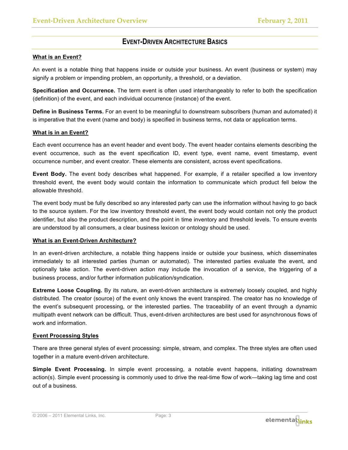# **EVENT-DRIVEN ARCHITECTURE BASICS**

## **What is an Event?**

An event is a notable thing that happens inside or outside your business. An event (business or system) may signify a problem or impending problem, an opportunity, a threshold, or a deviation.

**Specification and Occurrence.** The term event is often used interchangeably to refer to both the specification (definition) of the event, and each individual occurrence (instance) of the event.

**Define in Business Terms.** For an event to be meaningful to downstream subscribers (human and automated) it is imperative that the event (name and body) is specified in business terms, not data or application terms.

#### **What is in an Event?**

Each event occurrence has an event header and event body. The event header contains elements describing the event occurrence, such as the event specification ID, event type, event name, event timestamp, event occurrence number, and event creator. These elements are consistent, across event specifications.

**Event Body.** The event body describes what happened. For example, if a retailer specified a low inventory threshold event, the event body would contain the information to communicate which product fell below the allowable threshold.

The event body must be fully described so any interested party can use the information without having to go back to the source system. For the low inventory threshold event, the event body would contain not only the product identifier, but also the product description, and the point in time inventory and threshold levels. To ensure events are understood by all consumers, a clear business lexicon or ontology should be used.

## **What is an Event-Driven Architecture?**

In an event-driven architecture, a notable thing happens inside or outside your business, which disseminates immediately to all interested parties (human or automated). The interested parties evaluate the event, and optionally take action. The event-driven action may include the invocation of a service, the triggering of a business process, and/or further information publication/syndication.

**Extreme Loose Coupling.** By its nature, an event-driven architecture is extremely loosely coupled, and highly distributed. The creator (source) of the event only knows the event transpired. The creator has no knowledge of the event's subsequent processing, or the interested parties. The traceability of an event through a dynamic multipath event network can be difficult. Thus, event-driven architectures are best used for asynchronous flows of work and information.

## **Event Processing Styles**

There are three general styles of event processing: simple, stream, and complex. The three styles are often used together in a mature event-driven architecture.

**Simple Event Processing.** In simple event processing, a notable event happens, initiating downstream action(s). Simple event processing is commonly used to drive the real-time flow of work—taking lag time and cost out of a business.

© 2006 – 2011 Elemental Links, Inc. Page: 3

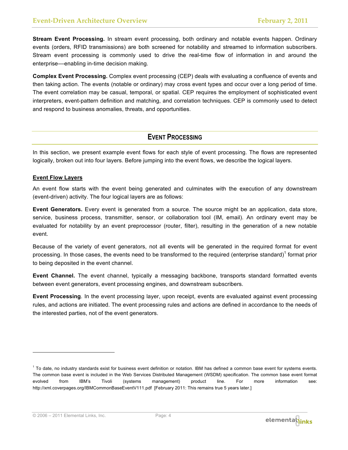**Stream Event Processing.** In stream event processing, both ordinary and notable events happen. Ordinary events (orders, RFID transmissions) are both screened for notability and streamed to information subscribers. Stream event processing is commonly used to drive the real-time flow of information in and around the enterprise––enabling in-time decision making.

**Complex Event Processing.** Complex event processing (CEP) deals with evaluating a confluence of events and then taking action. The events (notable or ordinary) may cross event types and occur over a long period of time. The event correlation may be casual, temporal, or spatial. CEP requires the employment of sophisticated event interpreters, event-pattern definition and matching, and correlation techniques. CEP is commonly used to detect and respond to business anomalies, threats, and opportunities.

# **EVENT PROCESSING**

In this section, we present example event flows for each style of event processing. The flows are represented logically, broken out into four layers. Before jumping into the event flows, we describe the logical layers.

## **Event Flow Layers**

An event flow starts with the event being generated and culminates with the execution of any downstream (event-driven) activity. The four logical layers are as follows:

**Event Generators.** Every event is generated from a source. The source might be an application, data store, service, business process, transmitter, sensor, or collaboration tool (IM, email). An ordinary event may be evaluated for notability by an event preprocessor (router, filter), resulting in the generation of a new notable event.

Because of the variety of event generators, not all events will be generated in the required format for event processing. In those cases, the events need to be transformed to the required (enterprise standard)<sup>1</sup> format prior to being deposited in the event channel.

**Event Channel.** The event channel, typically a messaging backbone, transports standard formatted events between event generators, event processing engines, and downstream subscribers.

**Event Processing**. In the event processing layer, upon receipt, events are evaluated against event processing rules, and actions are initiated. The event processing rules and actions are defined in accordance to the needs of the interested parties, not of the event generators.

© 2006 – 2011 Elemental Links, Inc. Page: 4



 $1$  To date, no industry standards exist for business event definition or notation. IBM has defined a common base event for systems events. The common base event is included in the Web Services Distributed Management (WSDM) specification. The common base event format evolved from IBM's Tivoli (systems management) product line. For more information see: http://xml.coverpages.org/IBMCommonBaseEventV111.pdf [February 2011: This remains true 5 years later.]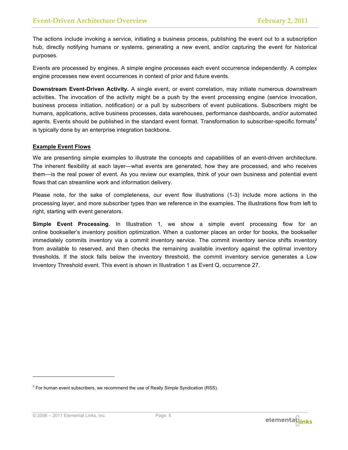The actions include invoking a service, initiating a business process, publishing the event out to a subscription hub, directly notifying humans or systems, generating a new event, and/or capturing the event for historical purposes.

Events are processed by engines. A simple engine processes each event occurrence independently. A complex engine processes new event occurrences in context of prior and future events.

**Downstream Event-Driven Activity.** A single event, or event correlation, may initiate numerous downstream activities. The invocation of the activity might be a push by the event processing engine (service invocation, business process initiation, notification) or a pull by subscribers of event publications. Subscribers might be humans, applications, active business processes, data warehouses, performance dashboards, and/or automated agents. Events should be published in the standard event format. Transformation to subscriber-specific formats<sup>2</sup> is typically done by an enterprise integration backbone.

## **Example Event Flows**

We are presenting simple examples to illustrate the concepts and capabilities of an event-driven architecture. The inherent flexibility at each layer—what events are generated, how they are processed, and who receives them—is the real power of event. As you review our examples, think of your own business and potential event flows that can streamline work and information delivery.

Please note, for the sake of completeness, our event flow illustrations (1-3) include more actions in the processing layer, and more subscriber types than we reference in the examples. The illustrations flow from left to right, starting with event generators.

**Simple Event Processing**. In Illustration 1, we show a simple event processing flow for an online bookseller's inventory position optimization. When a customer places an order for books, the bookseller immediately commits inventory via a commit inventory service. The commit inventory service shifts inventory from available to reserved, and then checks the remaining available inventory against the optimal inventory thresholds. If the stock falls below the inventory threshold, the commit inventory service generates a Low Inventory Threshold event. This event is shown in Illustration 1 as Event Q, occurrence 27.

© 2006 – 2011 Elemental Links, Inc. Page: 5



 $2$  For human event subscribers, we recommend the use of Really Simple Syndication (RSS).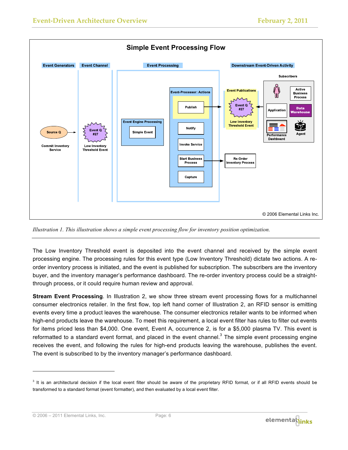

*Illustration 1. This illustration shows a simple event processing flow for inventory position optimization.* 

The Low Inventory Threshold event is deposited into the event channel and received by the simple event processing engine. The processing rules for this event type (Low Inventory Threshold) dictate two actions. A reorder inventory process is initiated, and the event is published for subscription. The subscribers are the inventory buyer, and the inventory manager's performance dashboard. The re-order inventory process could be a straightthrough process, or it could require human review and approval.

**Stream Event Processing**. In Illustration 2, we show three stream event processing flows for a multichannel consumer electronics retailer. In the first flow, top left hand corner of Illustration 2, an RFID sensor is emitting events every time a product leaves the warehouse. The consumer electronics retailer wants to be informed when high-end products leave the warehouse. To meet this requirement, a local event filter has rules to filter out events for items priced less than \$4,000. One event, Event A, occurrence 2, is for a \$5,000 plasma TV. This event is reformatted to a standard event format, and placed in the event channel.<sup>3</sup> The simple event processing engine receives the event, and following the rules for high-end products leaving the warehouse, publishes the event. The event is subscribed to by the inventory manager's performance dashboard.

© 2006 – 2011 Elemental Links, Inc. Page: 6



 $3$  It is an architectural decision if the local event filter should be aware of the proprietary RFID format, or if all RFID events should be transformed to a standard format (event formatter), and then evaluated by a local event filter.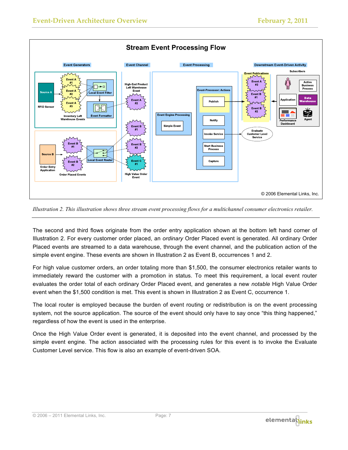

*Illustration 2. This illustration shows three stream event processing flows for a multichannel consumer electronics retailer.* 

The second and third flows originate from the order entry application shown at the bottom left hand corner of Illustration 2. For every customer order placed, an *ordinary* Order Placed event is generated. All ordinary Order Placed events are streamed to a data warehouse, through the event channel, and the publication action of the simple event engine. These events are shown in Illustration 2 as Event B, occurrences 1 and 2.

For high value customer orders, an order totaling more than \$1,500, the consumer electronics retailer wants to immediately reward the customer with a promotion in status. To meet this requirement, a local event router evaluates the order total of each ordinary Order Placed event, and generates a new *notable* High Value Order event when the \$1,500 condition is met. This event is shown in Illustration 2 as Event C, occurrence 1.

The local router is employed because the burden of event routing or redistribution is on the event processing system, not the source application. The source of the event should only have to say once "this thing happened," regardless of how the event is used in the enterprise.

Once the High Value Order event is generated, it is deposited into the event channel, and processed by the simple event engine. The action associated with the processing rules for this event is to invoke the Evaluate Customer Level service. This flow is also an example of event-driven SOA.

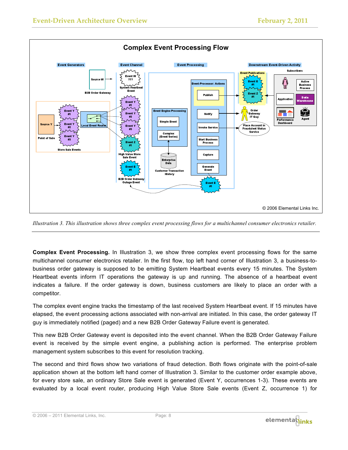

*Illustration 3. This illustration shows three complex event processing flows for a multichannel consumer electronics retailer.* 

**Complex Event Processing.** In Illustration 3, we show three complex event processing flows for the same multichannel consumer electronics retailer. In the first flow, top left hand corner of Illustration 3, a business-tobusiness order gateway is supposed to be emitting System Heartbeat events every 15 minutes. The System Heartbeat events inform IT operations the gateway is up and running. The absence of a heartbeat event indicates a failure. If the order gateway is down, business customers are likely to place an order with a competitor.

The complex event engine tracks the timestamp of the last received System Heartbeat event. If 15 minutes have elapsed, the event processing actions associated with non-arrival are initiated. In this case, the order gateway IT guy is immediately notified (paged) and a new B2B Order Gateway Failure event is generated.

This new B2B Order Gateway event is deposited into the event channel. When the B2B Order Gateway Failure event is received by the simple event engine, a publishing action is performed. The enterprise problem management system subscribes to this event for resolution tracking.

The second and third flows show two variations of fraud detection. Both flows originate with the point-of-sale application shown at the bottom left hand corner of Illustration 3. Similar to the customer order example above, for every store sale, an ordinary Store Sale event is generated (Event Y, occurrences 1-3). These events are evaluated by a local event router, producing High Value Store Sale events (Event Z, occurrence 1) for

© 2006 – 2011 Elemental Links, Inc. Page: 8

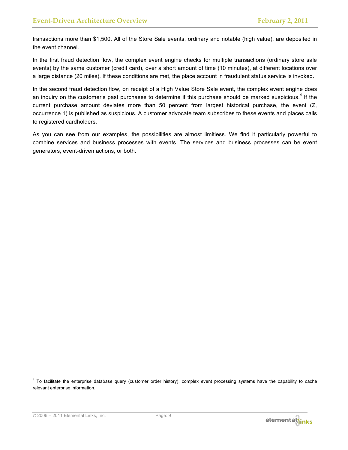transactions more than \$1,500. All of the Store Sale events, ordinary and notable (high value), are deposited in the event channel.

In the first fraud detection flow, the complex event engine checks for multiple transactions (ordinary store sale events) by the same customer (credit card), over a short amount of time (10 minutes), at different locations over a large distance (20 miles). If these conditions are met, the place account in fraudulent status service is invoked.

In the second fraud detection flow, on receipt of a High Value Store Sale event, the complex event engine does an inquiry on the customer's past purchases to determine if this purchase should be marked suspicious.<sup>4</sup> If the current purchase amount deviates more than 50 percent from largest historical purchase, the event (Z, occurrence 1) is published as suspicious. A customer advocate team subscribes to these events and places calls to registered cardholders.

As you can see from our examples, the possibilities are almost limitless. We find it particularly powerful to combine services and business processes with events. The services and business processes can be event generators, event-driven actions, or both.



<sup>&</sup>lt;sup>4</sup> To facilitate the enterprise database query (customer order history), complex event processing systems have the capability to cache relevant enterprise information.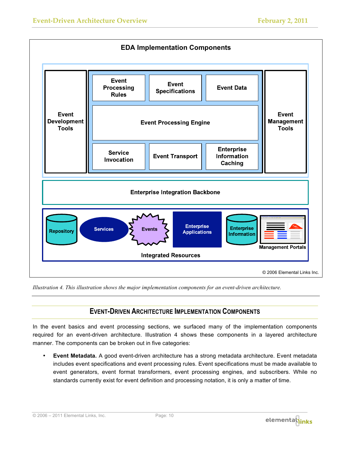

*Illustration 4. This illustration shows the major implementation components for an event-driven architecture.* 

# **EVENT-DRIVEN ARCHITECTURE IMPLEMENTATION COMPONENTS**

In the event basics and event processing sections, we surfaced many of the implementation components required for an event-driven architecture. Illustration 4 shows these components in a layered architecture manner. The components can be broken out in five categories:

• **Event Metadata.** A good event-driven architecture has a strong metadata architecture. Event metadata includes event specifications and event processing rules. Event specifications must be made available to event generators, event format transformers, event processing engines, and subscribers. While no standards currently exist for event definition and processing notation, it is only a matter of time.

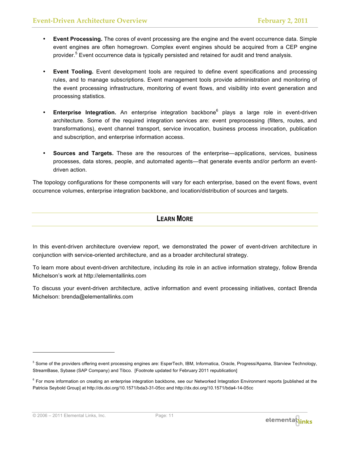- **Event Processing.** The cores of event processing are the engine and the event occurrence data. Simple event engines are often homegrown. Complex event engines should be acquired from a CEP engine provider.<sup>5</sup> Event occurrence data is typically persisted and retained for audit and trend analysis.
- **Event Tooling.** Event development tools are required to define event specifications and processing rules, and to manage subscriptions. Event management tools provide administration and monitoring of the event processing infrastructure, monitoring of event flows, and visibility into event generation and processing statistics.
- **Enterprise Integration.** An enterprise integration backbone<sup>6</sup> plays a large role in event-driven architecture. Some of the required integration services are: event preprocessing (filters, routes, and transformations), event channel transport, service invocation, business process invocation, publication and subscription, and enterprise information access.
- **Sources and Targets.** These are the resources of the enterprise—applications, services, business processes, data stores, people, and automated agents—that generate events and/or perform an eventdriven action.

The topology configurations for these components will vary for each enterprise, based on the event flows, event occurrence volumes, enterprise integration backbone, and location/distribution of sources and targets.

# **LEARN MORE**

In this event-driven architecture overview report, we demonstrated the power of event-driven architecture in conjunction with service-oriented architecture, and as a broader architectural strategy.

To learn more about event-driven architecture, including its role in an active information strategy, follow Brenda Michelson's work at http://elementallinks.com

To discuss your event-driven architecture, active information and event processing initiatives, contact Brenda Michelson: brenda@elementallinks.com

© 2006 – 2011 Elemental Links, Inc. Page: 11



<sup>&</sup>lt;sup>5</sup> Some of the providers offering event processing engines are: EsperTech, IBM, Informatica, Oracle, Progress/Apama, Starview Technology, StreamBase, Sybase (SAP Company) and Tibco. [Footnote updated for February 2011 republication]

<sup>&</sup>lt;sup>6</sup> For more information on creating an enterprise integration backbone, see our Networked Integration Environment reports [published at the Patricia Seybold Group] at http://dx.doi.org/10.1571/bda3-31-05cc and http://dx.doi.org/10.1571/bda4-14-05cc